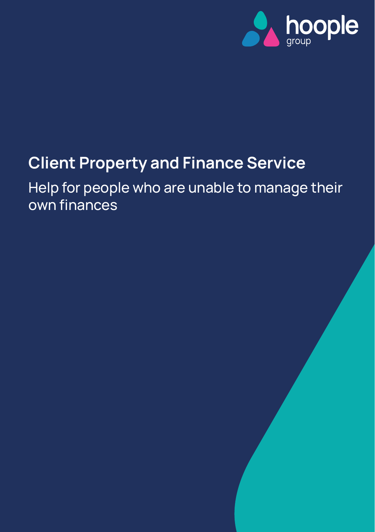

# **Client Property and Finance Service**

Help for people who are unable to manage their own finances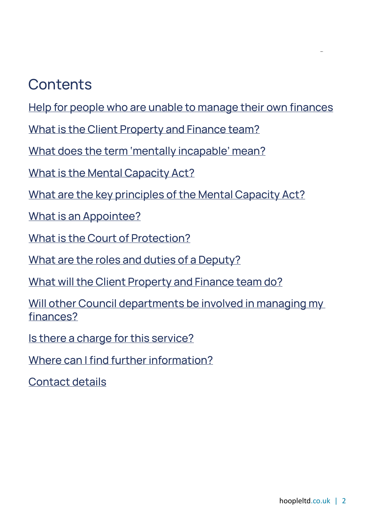## **Contents**

Help for people who are unable to manage their own finances

[What is the Client Property and Finance team?](#page-2-0)

What does the term 'mentally incapable' mean?

[What is the Mental Capacity Act?](#page-3-0)

[What are the key principles of the Mental Capacity Act?](#page-4-0)

[What is an Appointee?](#page-4-1)

[What is the Court of Protection?](#page-4-2)

[What are the roles and duties of a Deputy?](#page-5-0)

[What will the Client Property and Finance team do?](#page-5-1)

[Will other Council departments be involved in managing my](#page-5-2)  [finances?](#page-5-2)

Is there a charge for this service?

[Where can I find further information?](#page-7-0)

[Contact details](#page-9-0)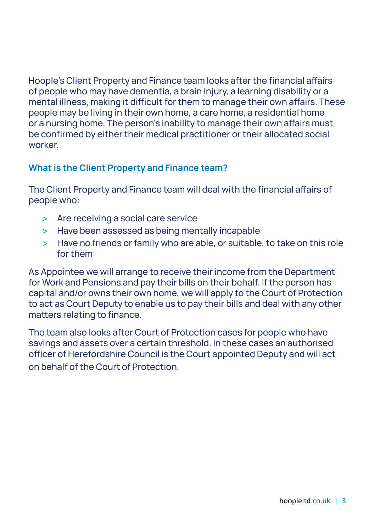Hoople's Client Property and Finance team looks after the financial affairs of people who may have dementia, a brain injury, a learning disability or a mental illness, making it difficult for them to manage their own affairs. These people may be living in their own home, a care home, a residential home or a nursing home. The person's inability to manage their own affairs must be confirmed by either their medical practitioner or their allocated social worker

## <span id="page-2-0"></span>**What is the Client Property and Finance team?**

The Client Property and Finance team will deal with the financial affairs of people who:

- > Are receiving a social care service
- > Have been assessed as being mentally incapable
- > Have no friends or family who are able, or suitable, to take on this role for them

As Appointee we will arrange to receive their income from the Department for Work and Pensions and pay their bills on their behalf. If the person has capital and/or owns their own home, we will apply to the Court of Protection to act as Court Deputy to enable us to pay their bills and deal with any other matters relating to finance.

The team also looks after Court of Protection cases for people who have savings and assets over a certain threshold. In these cases an authorised officer of Herefordshire Council is the Court appointed Deputy and will act on behalf of the Court of Protection.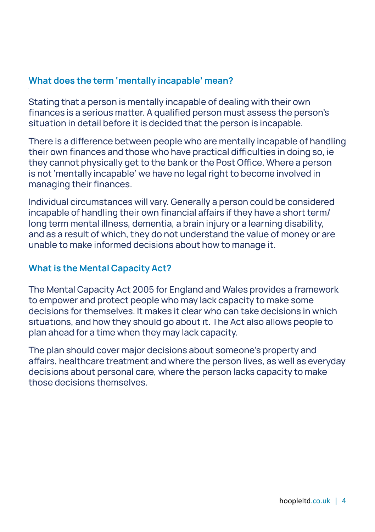## **What does the term 'mentally incapable' mean?**

Stating that a person is mentally incapable of dealing with their own finances is a serious matter. A qualified person must assess the person's situation in detail before it is decided that the person is incapable.

There is a difference between people who are mentally incapable of handling their own finances and those who have practical difficulties in doing so, ie they cannot physically get to the bank or the Post Office. Where a person is not 'mentally incapable' we have no legal right to become involved in managing their finances.

Individual circumstances will vary. Generally a person could be considered incapable of handling their own financial affairs if they have a short term/ long term mental illness, dementia, a brain injury or a learning disability, and as a result of which, they do not understand the value of money or are unable to make informed decisions about how to manage it.

#### <span id="page-3-0"></span>**What is the Mental Capacity Act?**

The Mental Capacity Act 2005 for England and Wales provides a framework to empower and protect people who may lack capacity to make some decisions for themselves. It makes it clear who can take decisions in which situations, and how they should go about it. The Act also allows people to plan ahead for a time when they may lack capacity.

The plan should cover major decisions about someone's property and affairs, healthcare treatment and where the person lives, as well as everyday decisions about personal care, where the person lacks capacity to make those decisions themselves.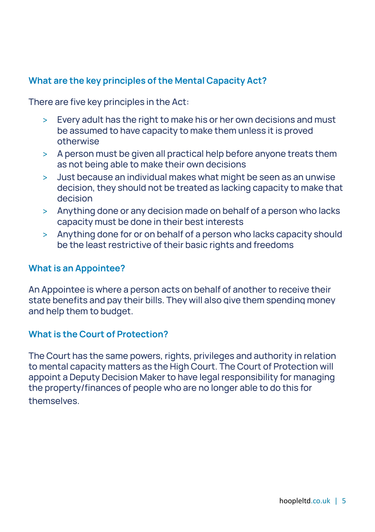## <span id="page-4-0"></span>**What are the key principles of the Mental Capacity Act?**

There are five key principles in the Act:

- > Every adult has the right to make his or her own decisions and must be assumed to have capacity to make them unless it is proved otherwise
- > A person must be given all practical help before anyone treats them as not being able to make their own decisions
- > Just because an individual makes what might be seen as an unwise decision, they should not be treated as lacking capacity to make that decision
- > Anything done or any decision made on behalf of a person who lacks capacity must be done in their best interests
- > Anything done for or on behalf of a person who lacks capacity should be the least restrictive of their basic rights and freedoms

#### <span id="page-4-1"></span>**What is an Appointee?**

An Appointee is where a person acts on behalf of another to receive their state benefits and pay their bills. They will also give them spending money and help them to budget.

#### <span id="page-4-2"></span>**What is the Court of Protection?**

The Court has the same powers, rights, privileges and authority in relation to mental capacity matters as the High Court. The Court of Protection will appoint a Deputy Decision Maker to have legal responsibility for managing the property/finances of people who are no longer able to do this for themselves.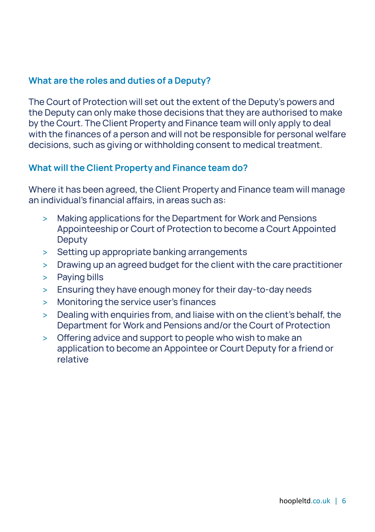## <span id="page-5-0"></span>**What are the roles and duties of a Deputy?**

The Court of Protection will set out the extent of the Deputy's powers and the Deputy can only make those decisions that they are authorised to make by the Court. The Client Property and Finance team will only apply to deal with the finances of a person and will not be responsible for personal welfare decisions, such as giving or withholding consent to medical treatment.

#### <span id="page-5-1"></span>**What will the Client Property and Finance team do?**

Where it has been agreed, the Client Property and Finance team will manage an individual's financial affairs, in areas such as:

- > Making applications for the Department for Work and Pensions Appointeeship or Court of Protection to become a Court Appointed **Deputy**
- > Setting up appropriate banking arrangements
- > Drawing up an agreed budget for the client with the care practitioner
- > Paying bills
- > Ensuring they have enough money for their day-to-day needs
- > Monitoring the service user's finances
- > Dealing with enquiries from, and liaise with on the client's behalf, the Department for Work and Pensions and/or the Court of Protection
- <span id="page-5-2"></span>> Offering advice and support to people who wish to make an application to become an Appointee or Court Deputy for a friend or relative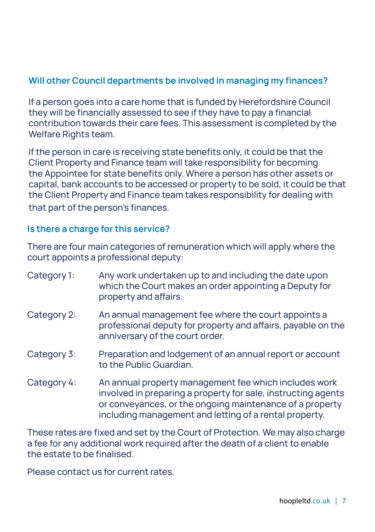## **Will other Council departments be involved in managing my finances?**

If a person goes into a care home that is funded by Herefordshire Council they will be financially assessed to see if they have to pay a financial contribution towards their care fees. This assessment is completed by the Welfare Rights team.

If the person in care is receiving state benefits only, it could be that the Client Property and Finance team will take responsibility for becoming the Appointee for state benefits only. Where a person has other assets or capital, bank accounts to be accessed or property to be sold, it could be that the Client Property and Finance team takes responsibility for dealing with that part of the person's finances.

### **Is there a charge for this service?**

There are four main categories of remuneration which will apply where the court appoints a professional deputy:

| Category 1: | Any work undertaken up to and including the date upon<br>which the Court makes an order appointing a Deputy for<br>property and affairs.                                                                                                     |
|-------------|----------------------------------------------------------------------------------------------------------------------------------------------------------------------------------------------------------------------------------------------|
| Category 2: | An annual management fee where the court appoints a<br>professional deputy for property and affairs, payable on the<br>anniversary of the court order.                                                                                       |
| Category 3: | Preparation and lodgement of an annual report or account<br>to the Public Guardian.                                                                                                                                                          |
| Category 4: | An annual property management fee which includes work<br>involved in preparing a property for sale, instructing agents<br>or conveyances, or the ongoing maintenance of a property<br>including management and letting of a rental property. |

These rates are fixed and set by the Court of Protection. We may also charge a fee for any additional work required after the death of a client to enable the estate to be finalised.

Please contact us for current rates.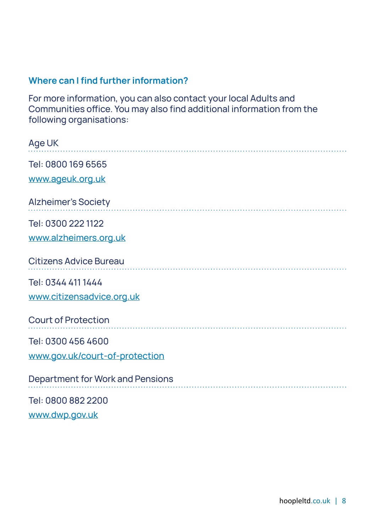## <span id="page-7-0"></span>**Where can I find further information?**

For more information, you can also contact your local Adults and Communities office. You may also find additional information from the following organisations:

| Age UK                           |
|----------------------------------|
| Tel: 0800 169 6565               |
| www.ageuk.org.uk                 |
| <b>Alzheimer's Society</b>       |
| Tel: 0300 222 1122               |
| www.alzheimers.org.uk            |
| <b>Citizens Advice Bureau</b>    |
| Tel: 0344 411 1444               |
| www.citizensadvice.org.uk        |
| <b>Court of Protection</b>       |
| Tel: 0300 456 4600               |
| www.gov.uk/court-of-protection   |
| Department for Work and Pensions |
| Tel: 0800 882 2200               |
| www.dwp.gov.uk                   |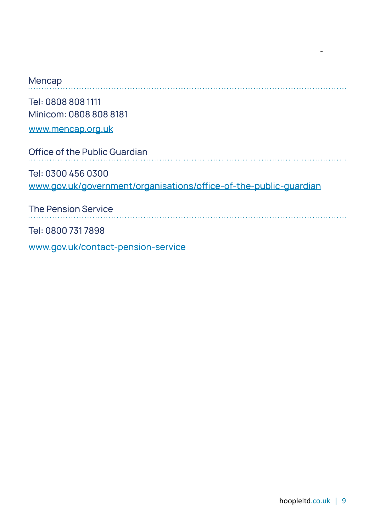| Mencap                                                                                  |
|-----------------------------------------------------------------------------------------|
| Tel: 0808 808 1111<br>Minicom: 0808 808 8181<br>www.mencap.org.uk                       |
| Office of the Public Guardian                                                           |
| Tel: 0300 456 0300<br>www.gov.uk/government/organisations/office-of-the-public-quardian |
| <b>The Pension Service</b>                                                              |
| Tel: 0800 731 7898                                                                      |

www.gov.uk/contact-pension-service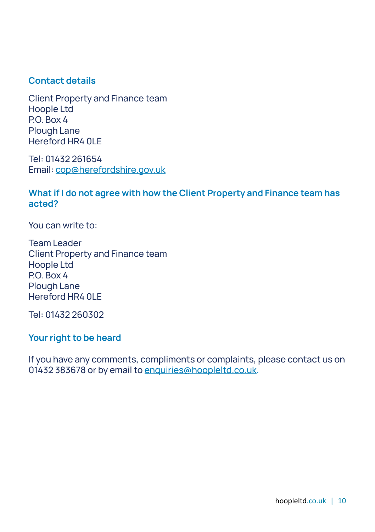### <span id="page-9-0"></span>**Contact details**

Client Property and Finance team Hoople Ltd P.O. Box 4 Plough Lane Hereford HR4 0LE

Tel: 01432 261654 Email: cop@herefordshire.gov.uk

## **What if I do not agree with how the Client Property and Finance team has acted?**

You can write to:

Team Leader Client Property and Finance team Hoople Ltd P.O. Box 4 Plough Lane Hereford HR4 0LE

Tel: 01432 260302

#### **Your right to be heard**

If you have any comments, compliments or complaints, please contact us on 01432 383678 or by email to enquiries@hoopleltd.co.uk.